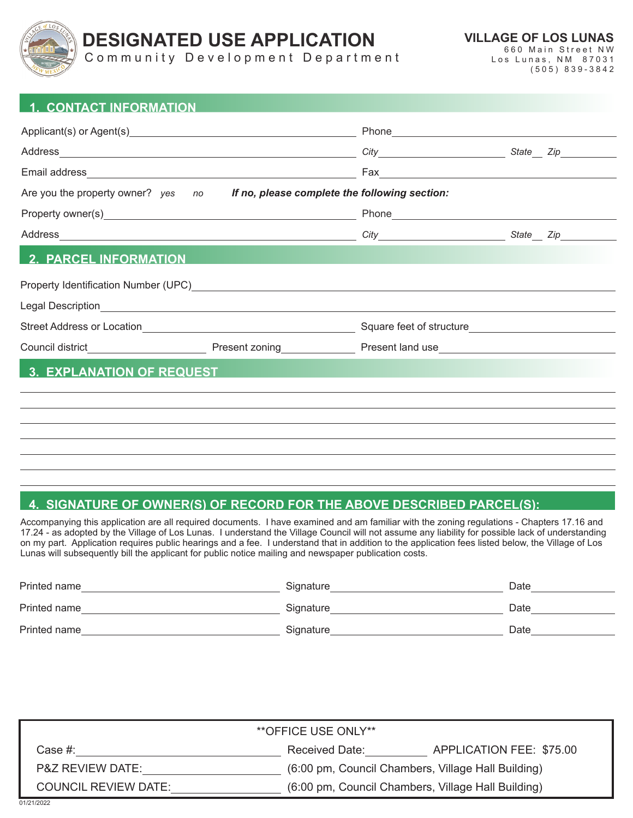

# **DESIGNATED USE APPLICATION**

**VILLAGE OF LOS LUNAS**

Community Development Department

660 Main Street NW Los Lunas, NM 87031 (505) 839-3842

| <b>1. CONTACT INFORMATION</b>                                                                                                                                                                                                    |  |                                                                                                                                                                                                                                      |  |  |  |  |
|----------------------------------------------------------------------------------------------------------------------------------------------------------------------------------------------------------------------------------|--|--------------------------------------------------------------------------------------------------------------------------------------------------------------------------------------------------------------------------------------|--|--|--|--|
|                                                                                                                                                                                                                                  |  |                                                                                                                                                                                                                                      |  |  |  |  |
|                                                                                                                                                                                                                                  |  |                                                                                                                                                                                                                                      |  |  |  |  |
|                                                                                                                                                                                                                                  |  |                                                                                                                                                                                                                                      |  |  |  |  |
| Are you the property owner? yes no <b>If no, please complete the following section:</b>                                                                                                                                          |  |                                                                                                                                                                                                                                      |  |  |  |  |
|                                                                                                                                                                                                                                  |  | Phone <b>Contract Contract Contract Contract Contract Contract Contract Contract Contract Contract Contract Contract Contract Contract Contract Contract Contract Contract Contract Contract Contract Contract Contract Contract</b> |  |  |  |  |
|                                                                                                                                                                                                                                  |  |                                                                                                                                                                                                                                      |  |  |  |  |
| <b>2. PARCEL INFORMATION</b>                                                                                                                                                                                                     |  |                                                                                                                                                                                                                                      |  |  |  |  |
| Property Identification Number (UPC) Network and the control of the control of the control of the control of the control of the control of the control of the control of the control of the control of the control of the cont   |  |                                                                                                                                                                                                                                      |  |  |  |  |
|                                                                                                                                                                                                                                  |  |                                                                                                                                                                                                                                      |  |  |  |  |
| Street Address or Location <b>contained a street Address or Location</b>                                                                                                                                                         |  |                                                                                                                                                                                                                                      |  |  |  |  |
| Council district <b>Council district Council district COUNCIL COUNCIL PROCESS COUNCIL COUNCIL COUNCIL COUNCIL COUNCIL COUNCIL COUNCIL COUNCIL COUNCIL COUNCIL COUNCIL COUNCIL COUNCIL COUNCIL COUNCIL COUNCIL COUNCIL COUNCI</b> |  |                                                                                                                                                                                                                                      |  |  |  |  |
| <b>3. EXPLANATION OF REQUEST</b>                                                                                                                                                                                                 |  |                                                                                                                                                                                                                                      |  |  |  |  |
|                                                                                                                                                                                                                                  |  |                                                                                                                                                                                                                                      |  |  |  |  |
|                                                                                                                                                                                                                                  |  |                                                                                                                                                                                                                                      |  |  |  |  |

## **4. SIGNATURE OF OWNER(S) OF RECORD FOR THE ABOVE DESCRIBED PARCEL(S):**

Accompanying this application are all required documents. I have examined and am familiar with the zoning regulations - Chapters 17.16 and 17.24 - as adopted by the Village of Los Lunas. I understand the Village Council will not assume any liability for possible lack of understanding on my part. Application requires public hearings and a fee. I understand that in addition to the application fees listed below, the Village of Los Lunas will subsequently bill the applicant for public notice mailing and newspaper publication costs.

| Printed name | Signature | Date |
|--------------|-----------|------|
| Printed name | Signature | Date |
| Printed name | Signature | Date |

| <i><b>**OFFICE USE ONLY**</b></i> |                                                    |                          |  |  |
|-----------------------------------|----------------------------------------------------|--------------------------|--|--|
| Case #:                           | Received Date:                                     | APPLICATION FEE: \$75.00 |  |  |
| <b>P&amp;Z REVIEW DATE:</b>       | (6:00 pm, Council Chambers, Village Hall Building) |                          |  |  |
| <b>COUNCIL REVIEW DATE:</b>       | (6:00 pm, Council Chambers, Village Hall Building) |                          |  |  |